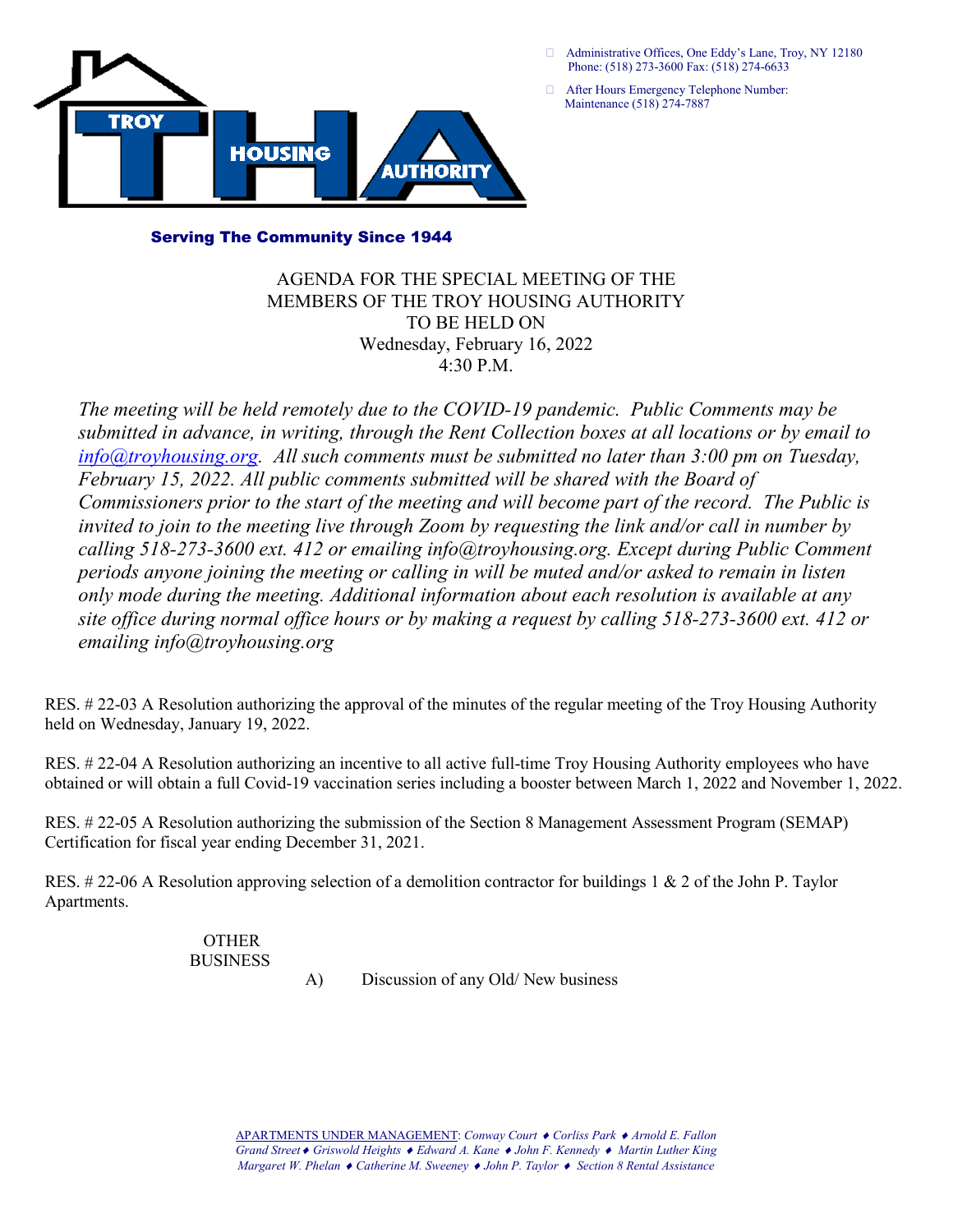

- Administrative Offices, One Eddy's Lane, Troy, NY 12180 Phone: (518) 273-3600 Fax: (518) 274-6633
- After Hours Emergency Telephone Number: Maintenance (518) 274-7887

## Serving The Community Since 1944

## AGENDA FOR THE SPECIAL MEETING OF THE MEMBERS OF THE TROY HOUSING AUTHORITY TO BE HELD ON Wednesday, February 16, 2022 4:30 P.M.

*The meeting will be held remotely due to the COVID-19 pandemic. Public Comments may be submitted in advance, in writing, through the Rent Collection boxes at all locations or by email to info@troyhousing.org. All such comments must be submitted no later than 3:00 pm on Tuesday, February 15, 2022. All public comments submitted will be shared with the Board of Commissioners prior to the start of the meeting and will become part of the record. The Public is invited to join to the meeting live through Zoom by requesting the link and/or call in number by calling 518-273-3600 ext. 412 or emailing info@troyhousing.org. Except during Public Comment periods anyone joining the meeting or calling in will be muted and/or asked to remain in listen only mode during the meeting. Additional information about each resolution is available at any site office during normal office hours or by making a request by calling 518-273-3600 ext. 412 or emailing info@troyhousing.org*

RES. # 22-03 A Resolution authorizing the approval of the minutes of the regular meeting of the Troy Housing Authority held on Wednesday, January 19, 2022.

RES. # 22-04 A Resolution authorizing an incentive to all active full-time Troy Housing Authority employees who have obtained or will obtain a full Covid-19 vaccination series including a booster between March 1, 2022 and November 1, 2022.

RES. # 22-05 A Resolution authorizing the submission of the Section 8 Management Assessment Program (SEMAP) Certification for fiscal year ending December 31, 2021.

RES. # 22-06 A Resolution approving selection of a demolition contractor for buildings 1 & 2 of the John P. Taylor Apartments.

> OTHER BUSINESS

A) Discussion of any Old/ New business